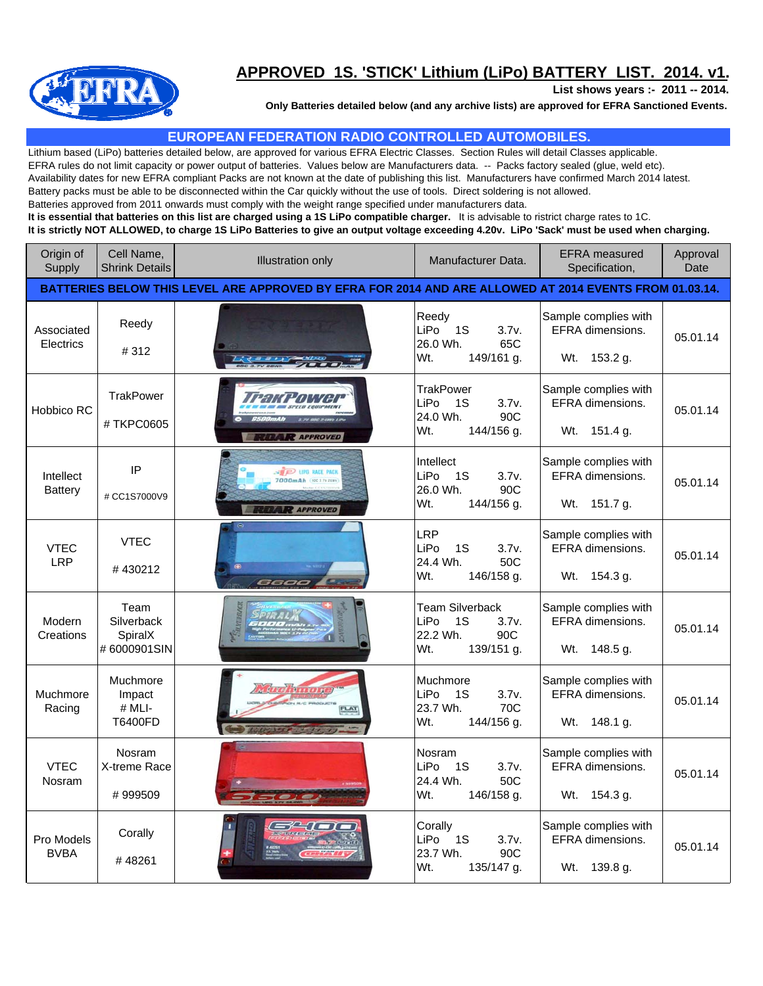

## **APPROVED 1S. 'STICK' Lithium (LiPo) BATTERY LIST. 2014. v1.**

**List shows years :- 2011 -- 2014.**

**Only Batteries detailed below (and any archive lists) are approved for EFRA Sanctioned Events.**

## **EUROPEAN FEDERATION RADIO CONTROLLED AUTOMOBILES.**

Lithium based (LiPo) batteries detailed below, are approved for various EFRA Electric Classes. Section Rules will detail Classes applicable. EFRA rules do not limit capacity or power output of batteries. Values below are Manufacturers data. -- Packs factory sealed (glue, weld etc). Availability dates for new EFRA compliant Packs are not known at the date of publishing this list. Manufacturers have confirmed March 2014 latest. Battery packs must be able to be disconnected within the Car quickly without the use of tools. Direct soldering is not allowed. Batteries approved from 2011 onwards must comply with the weight range specified under manufacturers data. **It is essential that batteries on this list are charged using a 1S LiPo compatible charger.** It is advisable to ristrict charge rates to 1C. **It is strictly NOT ALLOWED, to charge 1S LiPo Batteries to give an output voltage exceeding 4.20v. LiPo 'Sack' must be used when charging.**

| Origin of<br>Supply         | Cell Name,<br><b>Shrink Details</b>                                                                    | <b>Illustration only</b>                              | Manufacturer Data.                                                                     | <b>EFRA</b> measured<br>Specification,                      | Approval<br>Date |  |  |
|-----------------------------|--------------------------------------------------------------------------------------------------------|-------------------------------------------------------|----------------------------------------------------------------------------------------|-------------------------------------------------------------|------------------|--|--|
|                             | BATTERIES BELOW THIS LEVEL ARE APPROVED BY EFRA FOR 2014 AND ARE ALLOWED AT 2014 EVENTS FROM 01.03.14. |                                                       |                                                                                        |                                                             |                  |  |  |
| Associated<br>Electrics     | Reedy<br>#312                                                                                          |                                                       | Reedy<br>1S<br>LiPo<br>3.7v.<br>65C<br>26.0 Wh.<br>Wt.<br>149/161 g.                   | Sample complies with<br>EFRA dimensions.<br>Wt. 153.2 g.    | 05.01.14         |  |  |
| Hobbico RC                  | <b>TrakPower</b><br>#TKPC0605                                                                          |                                                       | <b>TrakPower</b><br><b>LiPo</b><br>1S<br>3.7v.<br>24.0 Wh.<br>90C<br>Wt.<br>144/156 g. | Sample complies with<br>EFRA dimensions.<br>Wt. 151.4 g.    | 05.01.14         |  |  |
| Intellect<br><b>Battery</b> | IP<br># CC1S7000V9                                                                                     | <b>P</b> UPG RACE PAC<br>7000mAh<br><b>R</b> APPROVED | Intellect<br>LiPo<br>- 1S<br>3.7v.<br>90C<br>26.0 Wh.<br>Wt.<br>144/156 g.             | Sample complies with<br>EFRA dimensions.<br>Wt. 151.7 g.    | 05.01.14         |  |  |
| <b>VTEC</b><br><b>LRP</b>   | <b>VTEC</b><br>#430212                                                                                 | 6600                                                  | <b>LRP</b><br>LiP <sub>o</sub><br>1S<br>3.7v.<br>24.4 Wh.<br>50C<br>Wt.<br>146/158 g.  | Sample complies with<br>EFRA dimensions.<br>Wt. 154.3 g.    | 05.01.14         |  |  |
| Modern<br>Creations         | Team<br>Silverback<br>SpiralX<br>#6000901SIN                                                           |                                                       | <b>Team Silverback</b><br>LiPo<br>1S<br>3.7v.<br>90C<br>22.2 Wh.<br>Wt.<br>139/151 g.  | Sample complies with<br>EFRA dimensions.<br>Wt. 148.5 g.    | 05.01.14         |  |  |
| Muchmore<br>Racing          | Muchmore<br>Impact<br># MLI-<br>T6400FD                                                                |                                                       | Muchmore<br>LiPo<br>1S<br>3.7v.<br>23.7 Wh.<br>70C<br>Wt.<br>144/156 g.                | Sample complies with<br>EFRA dimensions.<br>148.1 g.<br>Wt. | 05.01.14         |  |  |
| <b>VTEC</b><br>Nosram       | Nosram<br>X-treme Race<br>#999509                                                                      |                                                       | Nosram<br>LiPo<br>1S<br>3.7v.<br>24.4 Wh.<br>50C<br>Wt.<br>146/158 g.                  | Sample complies with<br>EFRA dimensions.<br>Wt. 154.3 g.    | 05.01.14         |  |  |
| Pro Models<br><b>BVBA</b>   | Corally<br>#48261                                                                                      |                                                       | Corally<br>LiPo<br><b>1S</b><br>3.7v.<br>23.7 Wh.<br>90C<br>Wt.<br>135/147 g.          | Sample complies with<br>EFRA dimensions.<br>Wt. 139.8 g.    | 05.01.14         |  |  |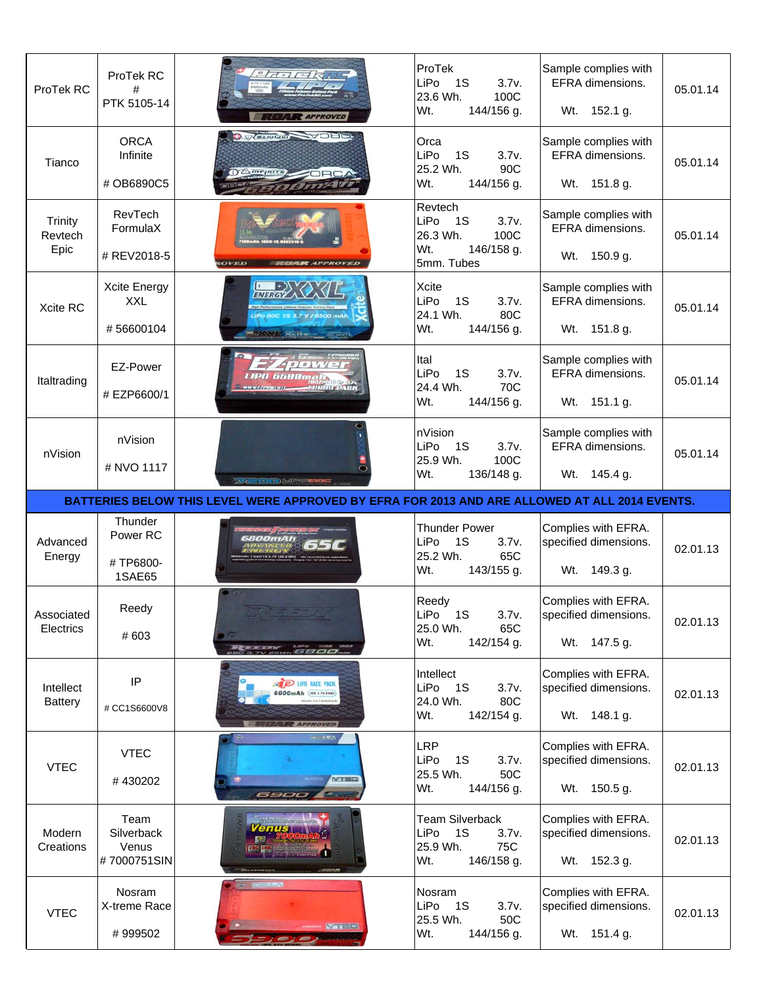| ProTek RC                         | ProTek RC<br>#<br>PTK 5105-14              | $H - I = K K J L$<br><b>R</b> APPROVED                                                        | ProTek<br>LiPo<br>3.7v.<br>- 1S<br>23.6 Wh.<br>100C<br>144/156 g.<br>Wt.              | Sample complies with<br>EFRA dimensions.<br>Wt. 152.1 g.     | 05.01.14 |
|-----------------------------------|--------------------------------------------|-----------------------------------------------------------------------------------------------|---------------------------------------------------------------------------------------|--------------------------------------------------------------|----------|
| Tianco                            | <b>ORCA</b><br>Infinite<br># OB6890C5      | D Wernich WOHL                                                                                | Orca<br>LiPo<br>1S<br>3.7v.<br>25.2 Wh.<br>90C<br>Wt.<br>144/156 g.                   | Sample complies with<br>EFRA dimensions.<br>Wt. 151.8 g.     | 05.01.14 |
| <b>Trinity</b><br>Revtech<br>Epic | RevTech<br>FormulaX<br># REV2018-5         |                                                                                               | Revtech<br>LiPo<br>1S<br>3.7v.<br>100C<br>26.3 Wh.<br>Wt.<br>146/158 g.<br>5mm. Tubes | Sample complies with<br>EFRA dimensions.<br>Wt. 150.9 g.     | 05.01.14 |
| Xcite RC                          | Xcite Energy<br><b>XXL</b><br>#56600104    | <b>ENERGY</b><br><b>XXL Xcite</b>                                                             | <b>Xcite</b><br>LiPo<br>1S<br>3.7v.<br>24.1 Wh.<br>80C<br>Wt.<br>144/156 g.           | Sample complies with<br>EFRA dimensions.<br>Wt. 151.8 g.     | 05.01.14 |
| Italtrading                       | EZ-Power<br># EZP6600/1                    | $4 \mu \nu \nu$<br><i>LIPO GGOOmali</i><br>-ынно раск<br>WWWFZPOWER (I)                       | Ital<br>LiPo<br>1S<br>3.7v.<br>24.4 Wh.<br>70C<br>Wt.<br>144/156 g.                   | Sample complies with<br>EFRA dimensions.<br>Wt. 151.1 g.     | 05.01.14 |
| nVision                           | nVision<br># NVO 1117                      | <b>Excession MEXICALISM</b>                                                                   | nVision<br>3.7v.<br>1S<br>LiPo<br>25.9 Wh.<br>100C<br>Wt.<br>136/148 g.               | Sample complies with<br>EFRA dimensions.<br>Wt. 145.4 g.     | 05.01.14 |
|                                   |                                            |                                                                                               |                                                                                       |                                                              |          |
|                                   |                                            | BATTERIES BELOW THIS LEVEL WERE APPROVED BY EFRA FOR 2013 AND ARE ALLOWED AT ALL 2014 EVENTS. |                                                                                       |                                                              |          |
| Advanced<br>Energy                | Thunder<br>Power RC<br>#TP6800-<br>1SAE65  | 5 <i>800mAt</i>                                                                               | <b>Thunder Power</b><br>LiPo<br>1S<br>3.7v.<br>25.2 Wh.<br>65C<br>Wt.<br>143/155 g.   | Complies with EFRA.<br>specified dimensions.<br>Wt. 149.3 g. | 02.01.13 |
| Associated<br>Electrics           | Reedy<br># 603                             | $-11$                                                                                         | Reedy<br>LiPo<br>1S<br>3.7v.<br>25.0 Wh.<br>65C<br>Wt.<br>142/154 g.                  | Complies with EFRA.<br>specified dimensions.<br>Wt. 147.5 g. | 02.01.13 |
| Intellect<br>Battery              | IP<br># CC1S6600V8                         | <b>D</b> UPD RACE PACK<br>6600mAh (ecc 3.7V 24H)                                              | Intellect<br>LiPo<br>3.7v.<br>- 1S<br>80C<br>24.0 Wh.<br>Wt.<br>142/154 g.            | Complies with EFRA.<br>specified dimensions.<br>Wt. 148.1 g. | 02.01.13 |
| <b>VTEC</b>                       | <b>VTEC</b><br>#430202                     | - - - -<br>VIEC<br>ு<br>6900                                                                  | <b>LRP</b><br>LiPo<br>1S<br>3.7v.<br>25.5 Wh.<br>50C<br>Wt.<br>144/156 g.             | Complies with EFRA.<br>specified dimensions.<br>Wt. 150.5 g. | 02.01.13 |
| Modern<br>Creations               | Team<br>Silverback<br>Venus<br>#7000751SIN | Silvenin con<br><b>Venus</b>                                                                  | <b>Team Silverback</b><br>LiPo<br>1S<br>3.7v.<br>75C<br>25.9 Wh.<br>Wt.<br>146/158 g. | Complies with EFRA.<br>specified dimensions.<br>Wt. 152.3 g. | 02.01.13 |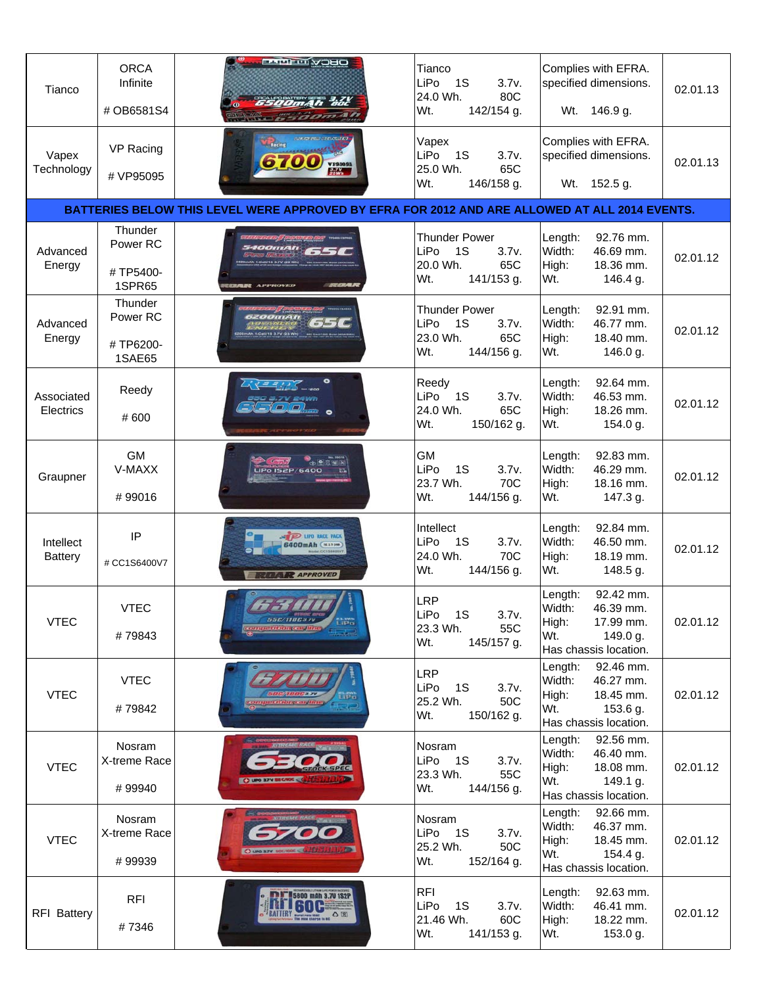| Tianco                      | <b>ORCA</b><br>Infinite<br># OB6581S4            | <b>FROW IT READS</b><br>6500mAh aoc<br>oma 41                                                 | Tianco<br>LiPo<br>1S<br>3.7v.<br>24.0 Wh.<br>80C<br>142/154 g.<br>Wt.               | Complies with EFRA.<br>specified dimensions.<br>Wt.<br>146.9 g.                                               | 02.01.13 |
|-----------------------------|--------------------------------------------------|-----------------------------------------------------------------------------------------------|-------------------------------------------------------------------------------------|---------------------------------------------------------------------------------------------------------------|----------|
| Vapex<br>Technology         | VP Racing<br># VP95095                           | <b>Maxing</b><br><b>VP93093</b><br><b>SAWA</b>                                                | Vapex<br>LiPo<br>1S<br>3.7v.<br>25.0 Wh.<br>65C<br>Wt.<br>146/158 g.                | Complies with EFRA.<br>specified dimensions.<br>Wt.<br>152.5 g.                                               | 02.01.13 |
|                             |                                                  | BATTERIES BELOW THIS LEVEL WERE APPROVED BY EFRA FOR 2012 AND ARE ALLOWED AT ALL 2014 EVENTS. |                                                                                     |                                                                                                               |          |
| Advanced<br>Energy          | Thunder<br>Power RC<br>#TP5400-<br><b>1SPR65</b> | <b>400mAh</b><br><b>TEATR APPROVED</b>                                                        | <b>Thunder Power</b><br>LiPo<br>1S<br>3.7v.<br>20.0 Wh.<br>65C<br>Wt.<br>141/153 g. | 92.76 mm.<br>Length:<br>Width:<br>46.69 mm.<br>High:<br>18.36 mm.<br>Wt.<br>146.4 g.                          | 02.01.12 |
| Advanced<br>Energy          | Thunder<br>Power RC<br>#TP6200-<br><b>1SAE65</b> | <b>ZOOMAN</b>                                                                                 | <b>Thunder Power</b><br>LiPo<br>1S<br>3.7v.<br>23.0 Wh.<br>65C<br>Wt.<br>144/156 g. | Length:<br>92.91 mm.<br>Width:<br>46.77 mm.<br>High:<br>18.40 mm.<br>Wt.<br>146.0 g.                          | 02.01.12 |
| Associated<br>Electrics     | Reedy<br>#600                                    | $\Box$                                                                                        | Reedy<br>LiPo<br>1S<br>3.7v.<br>24.0 Wh.<br>65C<br>Wt.<br>150/162 g.                | Length:<br>92.64 mm.<br>Width:<br>46.53 mm.<br>High:<br>18.26 mm.<br>Wt.<br>154.0 g.                          | 02.01.12 |
| Graupner                    | <b>GM</b><br>V-MAXX<br>#99016                    | <b>LiPo IS2P/6400</b>                                                                         | <b>GM</b><br>LiPo<br>1S<br>3.7v.<br>23.7 Wh.<br>70C<br>Wt.<br>144/156 g.            | Length:<br>92.83 mm.<br>Width:<br>46.29 mm.<br>High:<br>18.16 mm.<br>Wt.<br>147.3 g.                          | 02.01.12 |
| Intellect<br><b>Battery</b> | IP<br># CC1S6400V7                               | <b>PO LIPO RACE PAC</b><br><b>6400mAh</b> ( <b>ELEVEN</b><br><b>R</b> APPROVED                | Intellect<br>LiPo<br>1S<br>3.7v.<br>24.0 Wh.<br>70C<br>Wt.<br>144/156 g.            | 92.84 mm.<br>Length:<br>Width:<br>46.50 mm.<br>High:<br>18.19 mm.<br>Wt.<br>148.5 g.                          | 02.01.12 |
| <b>VTEC</b>                 | <b>VTEC</b><br>#79843                            | 556/11063.77<br>11. uww.<br>Life to<br><b><i><u>Entionentalin</u></i></b>                     | <b>LRP</b><br>LiPo<br>1S<br>3.7v.<br>55C<br>23.3 Wh.<br>Wt.<br>145/157 g.           | 92.42 mm.<br>Length:<br>Width:<br>46.39 mm.<br>High:<br>17.99 mm.<br>Wt.<br>149.0 g.<br>Has chassis location. | 02.01.12 |
| <b>VTEC</b>                 | <b>VTEC</b><br>#79842                            |                                                                                               | <b>LRP</b><br>LiPo<br>1S<br>3.7v.<br>25.2 Wh.<br>50C<br>Wt.<br>150/162 g.           | Length:<br>92.46 mm.<br>Width:<br>46.27 mm.<br>High:<br>18.45 mm.<br>Wt.<br>153.6 g.<br>Has chassis location. | 02.01.12 |
| <b>VTEC</b>                 | Nosram<br>X-treme Race<br>#99940                 |                                                                                               | Nosram<br>LiPo<br>1S<br>3.7v.<br>23.3 Wh.<br>55C<br>Wt.<br>144/156 g.               | Length:<br>92.56 mm.<br>Width:<br>46.40 mm.<br>18.08 mm.<br>High:<br>Wt.<br>149.1 g.<br>Has chassis location. | 02.01.12 |
| <b>VTEC</b>                 | Nosram<br>X-treme Race<br>#99939                 |                                                                                               | Nosram<br>LiPo<br>1S<br>3.7v.<br>25.2 Wh.<br>50C<br>Wt.<br>152/164 g.               | Length: 92.66 mm.<br>Width:<br>46.37 mm.<br>High:<br>18.45 mm.<br>Wt.<br>154.4 g.<br>Has chassis location.    | 02.01.12 |
| <b>RFI Battery</b>          | <b>RFI</b><br>#7346                              | 5800 mAh 3.7V 1S2P<br>$\frac{1}{2}$<br>BATTERY BUTHL                                          | <b>RFI</b><br>LiPo<br>1S<br>3.7v.<br>21.46 Wh.<br>60C<br>Wt.<br>141/153 g.          | Length:<br>92.63 mm.<br>Width:<br>46.41 mm.<br>High:<br>18.22 mm.<br>Wt.<br>153.0 g.                          | 02.01.12 |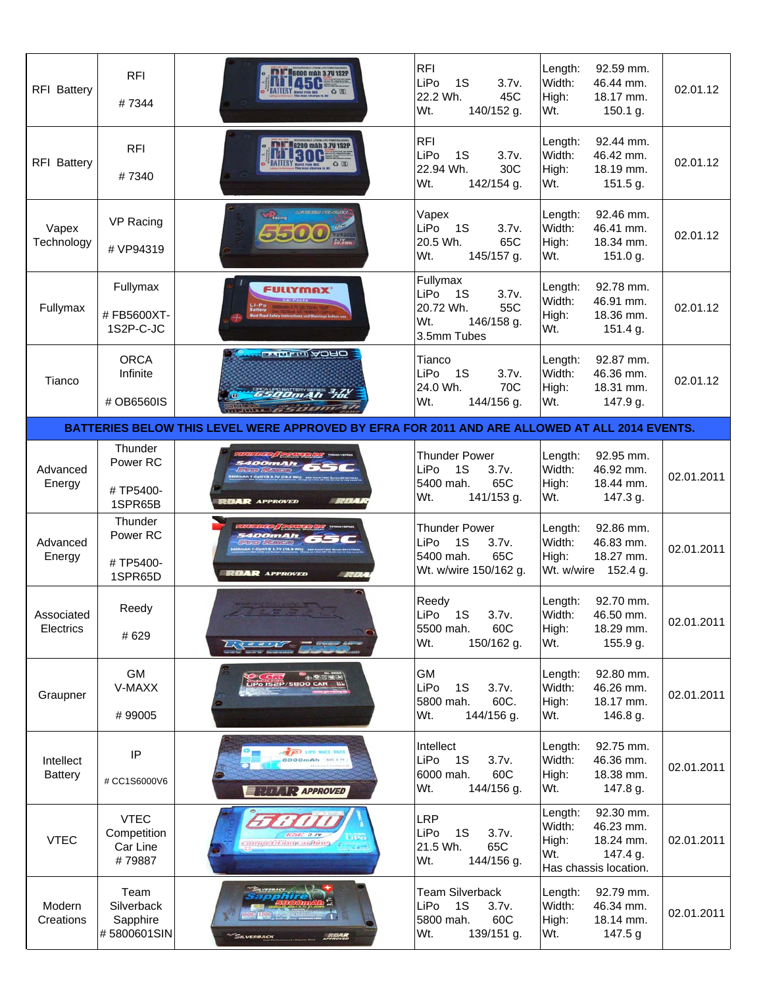| <b>RFI Battery</b>          | <b>RFI</b><br>#7344                                   | <b>8000 mAh 3.7V 1S2P</b>                                                                                  | <b>RFI</b><br>LiPo<br>1S<br>3.7v.<br>22.2 Wh.<br>45C<br>Wt.<br>140/152 g.                                     | Length:<br>92.59 mm.<br>Width:<br>46.44 mm.<br>High:<br>18.17 mm.<br>Wt.<br>150.1 g.                           | 02.01.12   |
|-----------------------------|-------------------------------------------------------|------------------------------------------------------------------------------------------------------------|---------------------------------------------------------------------------------------------------------------|----------------------------------------------------------------------------------------------------------------|------------|
| RFI Battery                 | <b>RFI</b><br>#7340                                   | 6200 mAh 3.7V 1S2P<br>BATTERY DESCRIPTION OF CALL                                                          | <b>RFI</b><br>LiPo<br>1S<br>3.7v.<br>30C<br>22.94 Wh.<br>Wt.<br>142/154 g.                                    | 92.44 mm.<br>Length:<br>Width:<br>46.42 mm.<br>High:<br>18.19 mm.<br>Wt.<br>151.5 g.                           | 02.01.12   |
| Vapex<br>Technology         | VP Racing<br># VP94319                                | <b>Comments</b>                                                                                            | Vapex<br>LiPo<br><b>1S</b><br>3.7v.<br>20.5 Wh.<br>65C<br>Wt.<br>145/157 g.                                   | Length:<br>92.46 mm.<br>Width:<br>46.41 mm.<br>High:<br>18.34 mm.<br>Wt.<br>151.0 g.                           | 02.01.12   |
| Fullymax                    | Fullymax<br>#FB5600XT-<br>1S2P-C-JC                   | <b>FULLYMAX</b>                                                                                            | Fullymax<br>LiPo<br>1S<br>3.7v.<br>55C<br>20.72 Wh.<br>Wt.<br>146/158 g.<br>3.5mm Tubes                       | 92.78 mm.<br>Length:<br>Width:<br>46.91 mm.<br>High:<br>18.36 mm.<br>Wt.<br>151.4 g.                           | 02.01.12   |
| Tianco                      | <b>ORCA</b><br>Infinite<br># OB6560IS                 | <b>DHOA ILL TILLE</b><br>6500mAh 7d<br><b><i>COURSE</i></b>                                                | Tianco<br>LiPo<br><b>1S</b><br>3.7v.<br>24.0 Wh.<br>70C<br>Wt.<br>144/156 g.                                  | Length:<br>92.87 mm.<br>Width:<br>46.36 mm.<br>High:<br>18.31 mm.<br>147.9 g.<br>Wt.                           | 02.01.12   |
|                             |                                                       | BATTERIES BELOW THIS LEVEL WERE APPROVED BY EFRA FOR 2011 AND ARE ALLOWED AT ALL 2014 EVENTS.              |                                                                                                               |                                                                                                                |            |
| Advanced<br>Energy          | Thunder<br>Power RC<br>#TP5400-                       |                                                                                                            | <b>Thunder Power</b><br>1S<br>LiPo<br>3.7v.<br>65C<br>5400 mah.                                               | 92.95 mm.<br>Length:<br>Width:<br>46.92 mm.<br>High:<br>18.44 mm.                                              | 02.01.2011 |
| Advanced<br>Energy          | 1SPR65B<br>Thunder<br>Power RC<br>#TP5400-<br>1SPR65D | $\mathcal{L}(\mathcal{L}(\mathcal{L}))$<br><b>BAR</b> APPROVED<br><b>RUAR</b> APPROVED<br><b>START AND</b> | Wt.<br>141/153 g.<br><b>Thunder Power</b><br>LiPo<br>1S<br>3.7v.<br>65C<br>5400 mah.<br>Wt. w/wire 150/162 g. | Wt.<br>147.3 g.<br>92.86 mm.<br>Length:<br>Width:<br>46.83 mm.<br>High:<br>18.27 mm.<br>Wt. w/wire<br>152.4 g. | 02.01.2011 |
| Associated<br>Electrics     | Reedy<br>#629                                         |                                                                                                            | Reedy<br>LiPo<br>1S<br>3.7v.<br>60C<br>5500 mah.<br>Wt.<br>150/162 g.                                         | 92.70 mm.<br>Length:<br>Width:<br>46.50 mm.<br>High:<br>18.29 mm.<br>Wt.<br>155.9 g.                           | 02.01.2011 |
| Graupner                    | GM<br>V-MAXX                                          | CER (SE SENING<br><b>S2P/5800 CAR</b>                                                                      | GM<br>LiPo<br>1S<br>3.7v.                                                                                     | Length:<br>92.80 mm.<br>Width:<br>46.26 mm.                                                                    | 02.01.2011 |
|                             | #99005                                                |                                                                                                            | 60C.<br>5800 mah.<br>Wt.<br>144/156 g.                                                                        | High:<br>18.17 mm.<br>Wt.<br>146.8 g.                                                                          |            |
| Intellect<br><b>Battery</b> | IP<br># CC1S6000V6                                    | P LIPD RACE<br>6000mAh<br><b>REAL REAPPROVED</b>                                                           | Intellect<br>LiPo<br>1S<br>3.7v.<br>6000 mah.<br>60C<br>Wt.<br>144/156 g.                                     | Length:<br>92.75 mm.<br>Width:<br>46.36 mm.<br>High:<br>18.38 mm.<br>Wt.<br>147.8 g.                           | 02.01.2011 |
| <b>VTEC</b>                 | <b>VTEC</b><br>Competition<br>Car Line<br>#79887      | 656 a.m<br>competitions ashing                                                                             | LRP<br>LiPo<br>1S<br>3.7v.<br>65C<br>21.5 Wh.<br>Wt.<br>144/156 g.                                            | 92.30 mm.<br>Length:<br>Width:<br>46.23 mm.<br>High:<br>18.24 mm.<br>Wt.<br>147.4 g.<br>Has chassis location.  | 02.01.2011 |